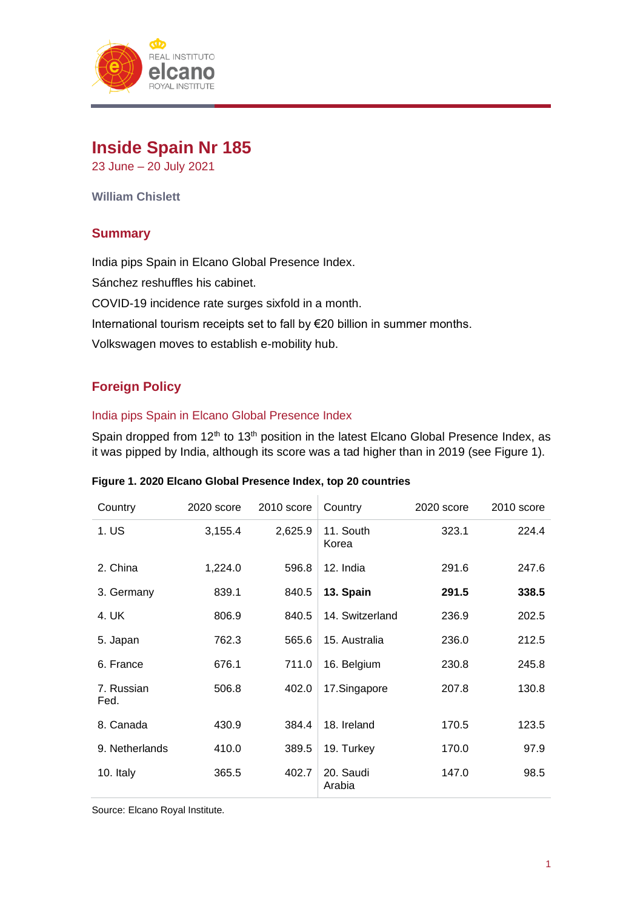

# **Inside Spain Nr 185**

23 June – 20 July 2021

**William Chislett**

# **Summary**

India pips Spain in Elcano Global Presence Index.

Sánchez reshuffles his cabinet.

COVID-19 incidence rate surges sixfold in a month.

International tourism receipts set to fall by €20 billion in summer months.

Volkswagen moves to establish e-mobility hub.

# **Foreign Policy**

# India pips Spain in Elcano Global Presence Index

Spain dropped from 12<sup>th</sup> to 13<sup>th</sup> position in the latest Elcano Global Presence Index, as it was pipped by India, although its score was a tad higher than in 2019 (see Figure 1).

| Country            | 2020 score | 2010 score | Country             | 2020 score | 2010 score |
|--------------------|------------|------------|---------------------|------------|------------|
| 1. US              | 3,155.4    | 2,625.9    | 11. South<br>Korea  | 323.1      | 224.4      |
| 2. China           | 1,224.0    | 596.8      | 12. India           | 291.6      | 247.6      |
| 3. Germany         | 839.1      | 840.5      | 13. Spain           | 291.5      | 338.5      |
| 4. UK              | 806.9      | 840.5      | 14. Switzerland     | 236.9      | 202.5      |
| 5. Japan           | 762.3      | 565.6      | 15. Australia       | 236.0      | 212.5      |
| 6. France          | 676.1      | 711.0      | 16. Belgium         | 230.8      | 245.8      |
| 7. Russian<br>Fed. | 506.8      | 402.0      | 17.Singapore        | 207.8      | 130.8      |
| 8. Canada          | 430.9      | 384.4      | 18. Ireland         | 170.5      | 123.5      |
| 9. Netherlands     | 410.0      | 389.5      | 19. Turkey          | 170.0      | 97.9       |
| 10. Italy          | 365.5      | 402.7      | 20. Saudi<br>Arabia | 147.0      | 98.5       |

# **Figure 1. 2020 Elcano Global Presence Index, top 20 countries**

Source: Elcano Royal Institute.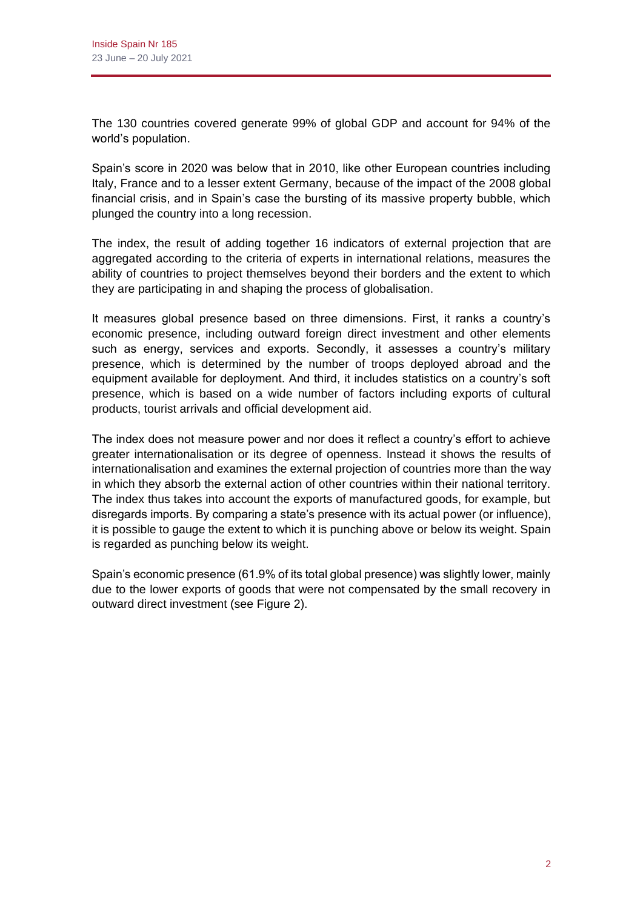The 130 countries covered generate 99% of global GDP and account for 94% of the world's population.

Spain's score in 2020 was below that in 2010, like other European countries including Italy, France and to a lesser extent Germany, because of the impact of the 2008 global financial crisis, and in Spain's case the bursting of its massive property bubble, which plunged the country into a long recession.

The index, the result of adding together 16 indicators of external projection that are aggregated according to the criteria of experts in international relations, measures the ability of countries to project themselves beyond their borders and the extent to which they are participating in and shaping the process of globalisation.

It measures global presence based on three dimensions. First, it ranks a country's economic presence, including outward foreign direct investment and other elements such as energy, services and exports. Secondly, it assesses a country's military presence, which is determined by the number of troops deployed abroad and the equipment available for deployment. And third, it includes statistics on a country's soft presence, which is based on a wide number of factors including exports of cultural products, tourist arrivals and official development aid.

The index does not measure power and nor does it reflect a country's effort to achieve greater internationalisation or its degree of openness. Instead it shows the results of internationalisation and examines the external projection of countries more than the way in which they absorb the external action of other countries within their national territory. The index thus takes into account the exports of manufactured goods, for example, but disregards imports. By comparing a state's presence with its actual power (or influence), it is possible to gauge the extent to which it is punching above or below its weight. Spain is regarded as punching below its weight.

Spain's economic presence (61.9% of its total global presence) was slightly lower, mainly due to the lower exports of goods that were not compensated by the small recovery in outward direct investment (see Figure 2).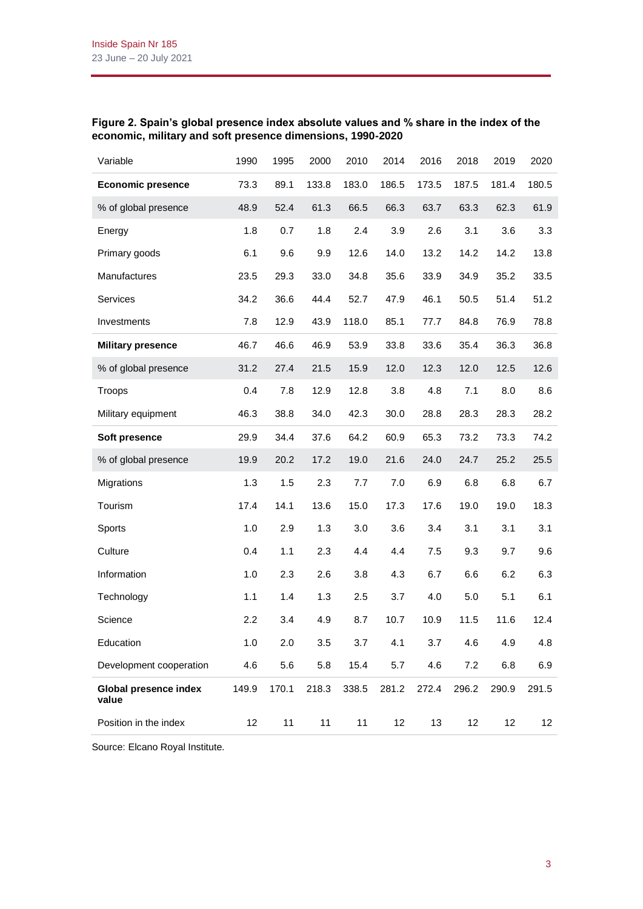# **Figure 2. Spain's global presence index absolute values and % share in the index of the economic, military and soft presence dimensions, 1990-2020**

| Variable                              | 1990  | 1995  | 2000  | 2010  | 2014  | 2016  | 2018  | 2019  | 2020  |
|---------------------------------------|-------|-------|-------|-------|-------|-------|-------|-------|-------|
| <b>Economic presence</b>              | 73.3  | 89.1  | 133.8 | 183.0 | 186.5 | 173.5 | 187.5 | 181.4 | 180.5 |
| % of global presence                  | 48.9  | 52.4  | 61.3  | 66.5  | 66.3  | 63.7  | 63.3  | 62.3  | 61.9  |
| Energy                                | 1.8   | 0.7   | 1.8   | 2.4   | 3.9   | 2.6   | 3.1   | 3.6   | 3.3   |
| Primary goods                         | 6.1   | 9.6   | 9.9   | 12.6  | 14.0  | 13.2  | 14.2  | 14.2  | 13.8  |
| Manufactures                          | 23.5  | 29.3  | 33.0  | 34.8  | 35.6  | 33.9  | 34.9  | 35.2  | 33.5  |
| Services                              | 34.2  | 36.6  | 44.4  | 52.7  | 47.9  | 46.1  | 50.5  | 51.4  | 51.2  |
| Investments                           | 7.8   | 12.9  | 43.9  | 118.0 | 85.1  | 77.7  | 84.8  | 76.9  | 78.8  |
| <b>Military presence</b>              | 46.7  | 46.6  | 46.9  | 53.9  | 33.8  | 33.6  | 35.4  | 36.3  | 36.8  |
| % of global presence                  | 31.2  | 27.4  | 21.5  | 15.9  | 12.0  | 12.3  | 12.0  | 12.5  | 12.6  |
| Troops                                | 0.4   | 7.8   | 12.9  | 12.8  | 3.8   | 4.8   | 7.1   | 8.0   | 8.6   |
| Military equipment                    | 46.3  | 38.8  | 34.0  | 42.3  | 30.0  | 28.8  | 28.3  | 28.3  | 28.2  |
| Soft presence                         | 29.9  | 34.4  | 37.6  | 64.2  | 60.9  | 65.3  | 73.2  | 73.3  | 74.2  |
| % of global presence                  | 19.9  | 20.2  | 17.2  | 19.0  | 21.6  | 24.0  | 24.7  | 25.2  | 25.5  |
| Migrations                            | 1.3   | 1.5   | 2.3   | 7.7   | 7.0   | 6.9   | 6.8   | 6.8   | 6.7   |
| Tourism                               | 17.4  | 14.1  | 13.6  | 15.0  | 17.3  | 17.6  | 19.0  | 19.0  | 18.3  |
| Sports                                | 1.0   | 2.9   | 1.3   | 3.0   | 3.6   | 3.4   | 3.1   | 3.1   | 3.1   |
| Culture                               | 0.4   | 1.1   | 2.3   | 4.4   | 4.4   | 7.5   | 9.3   | 9.7   | 9.6   |
| Information                           | 1.0   | 2.3   | 2.6   | 3.8   | 4.3   | 6.7   | 6.6   | 6.2   | 6.3   |
| Technology                            | 1.1   | 1.4   | 1.3   | 2.5   | 3.7   | 4.0   | 5.0   | 5.1   | 6.1   |
| Science                               | 2.2   | 3.4   | 4.9   | 8.7   | 10.7  | 10.9  | 11.5  | 11.6  | 12.4  |
| Education                             | 1.0   | 2.0   | 3.5   | 3.7   | 4.1   | 3.7   | 4.6   | 4.9   | 4.8   |
| Development cooperation               | 4.6   | 5.6   | 5.8   | 15.4  | 5.7   | 4.6   | 7.2   | 6.8   | 6.9   |
| <b>Global presence index</b><br>value | 149.9 | 170.1 | 218.3 | 338.5 | 281.2 | 272.4 | 296.2 | 290.9 | 291.5 |
| Position in the index                 | 12    | 11    | 11    | 11    | 12    | 13    | 12    | 12    | 12    |

Source: Elcano Royal Institute.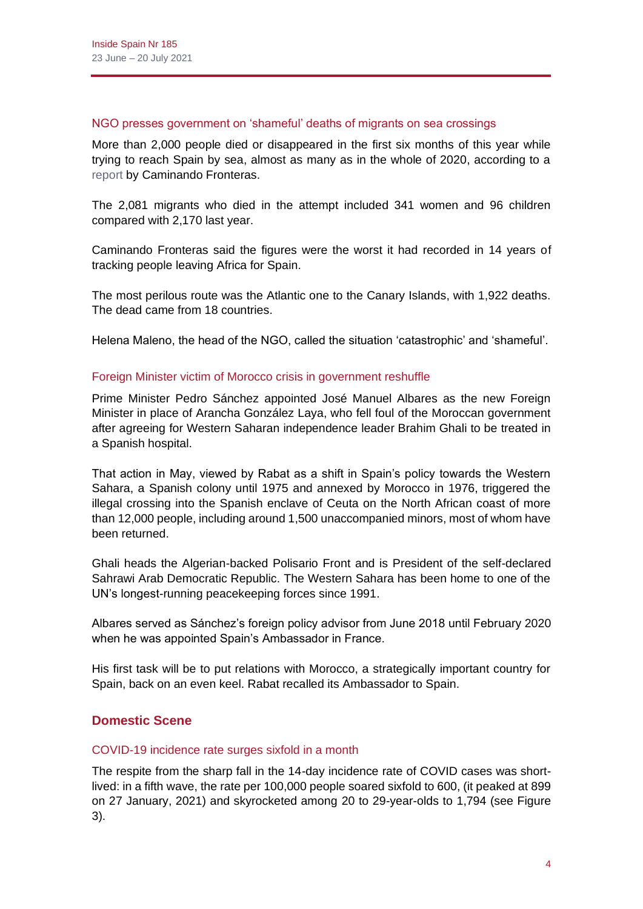#### NGO presses government on 'shameful' deaths of migrants on sea crossings

More than 2,000 people died or disappeared in the first six months of this year while trying to reach Spain by sea, almost as many as in the whole of 2020, according to a [report](https://caminandofronteras.org/monitoreo/monitoreo-del-derecho-a-la-vida-del-primer-semestre-de-2021/) by Caminando Fronteras.

The 2,081 migrants who died in the attempt included 341 women and 96 children compared with 2,170 last year.

Caminando Fronteras said the figures were the worst it had recorded in 14 years of tracking people leaving Africa for Spain.

The most perilous route was the Atlantic one to the Canary Islands, with 1,922 deaths. The dead came from 18 countries.

Helena Maleno, the head of the NGO, called the situation 'catastrophic' and 'shameful'.

#### Foreign Minister victim of Morocco crisis in government reshuffle

Prime Minister Pedro Sánchez appointed José Manuel Albares as the new Foreign Minister in place of Arancha González Laya, who fell foul of the Moroccan government after agreeing for Western Saharan independence leader Brahim Ghali to be treated in a Spanish hospital.

That action in May, viewed by Rabat as a shift in Spain's policy towards the Western Sahara, a Spanish colony until 1975 and annexed by Morocco in 1976, triggered the illegal crossing into the Spanish enclave of Ceuta on the North African coast of more than 12,000 people, including around 1,500 unaccompanied minors, most of whom have been returned.

Ghali heads the Algerian-backed Polisario Front and is President of the self-declared Sahrawi Arab Democratic Republic. The Western Sahara has been home to one of the UN's longest-running peacekeeping forces since 1991.

Albares served as Sánchez's foreign policy advisor from June 2018 until February 2020 when he was appointed Spain's Ambassador in France.

His first task will be to put relations with Morocco, a strategically important country for Spain, back on an even keel. Rabat recalled its Ambassador to Spain.

# **Domestic Scene**

# COVID-19 incidence rate surges sixfold in a month

The respite from the sharp fall in the 14-day incidence rate of COVID cases was shortlived: in a fifth wave, the rate per 100,000 people soared sixfold to 600, (it peaked at 899 on 27 January, 2021) and skyrocketed among 20 to 29-year-olds to 1,794 (see Figure 3).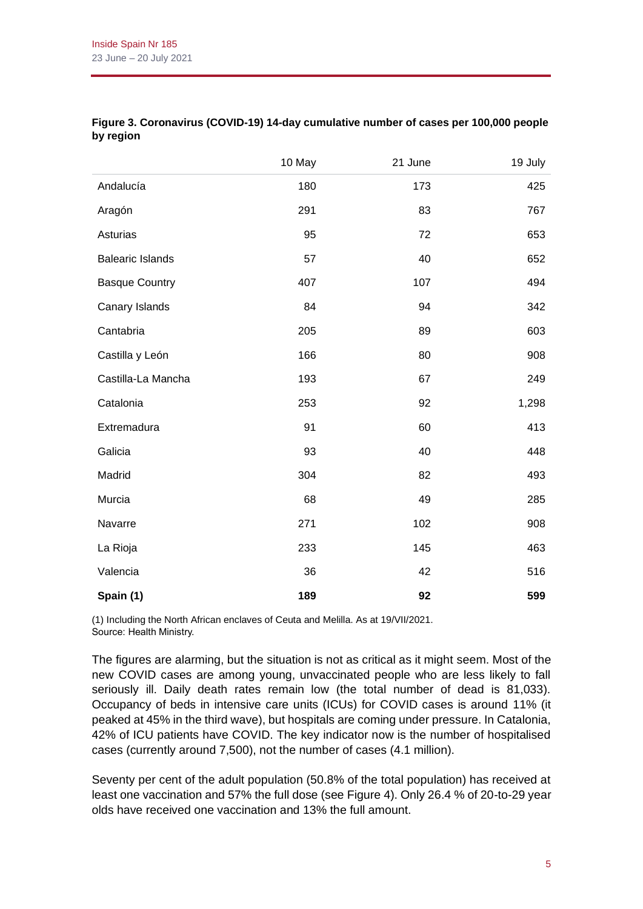|                         | 10 May | 21 June | 19 July |
|-------------------------|--------|---------|---------|
| Andalucía               | 180    | 173     | 425     |
| Aragón                  | 291    | 83      | 767     |
| Asturias                | 95     | 72      | 653     |
| <b>Balearic Islands</b> | 57     | 40      | 652     |
| <b>Basque Country</b>   | 407    | 107     | 494     |
| Canary Islands          | 84     | 94      | 342     |
| Cantabria               | 205    | 89      | 603     |
| Castilla y León         | 166    | 80      | 908     |
| Castilla-La Mancha      | 193    | 67      | 249     |
| Catalonia               | 253    | 92      | 1,298   |
| Extremadura             | 91     | 60      | 413     |
| Galicia                 | 93     | 40      | 448     |
| Madrid                  | 304    | 82      | 493     |
| Murcia                  | 68     | 49      | 285     |
| Navarre                 | 271    | 102     | 908     |
| La Rioja                | 233    | 145     | 463     |
| Valencia                | 36     | 42      | 516     |
| Spain (1)               | 189    | 92      | 599     |

# **Figure 3. Coronavirus (COVID-19) 14-day cumulative number of cases per 100,000 people by region**

(1) Including the North African enclaves of Ceuta and Melilla. As at 19/VII/2021. Source: Health Ministry.

The figures are alarming, but the situation is not as critical as it might seem. Most of the new COVID cases are among young, unvaccinated people who are less likely to fall seriously ill. Daily death rates remain low (the total number of dead is 81,033). Occupancy of beds in intensive care units (ICUs) for COVID cases is around 11% (it peaked at 45% in the third wave), but hospitals are coming under pressure. In Catalonia, 42% of ICU patients have COVID. The key indicator now is the number of hospitalised cases (currently around 7,500), not the number of cases (4.1 million).

Seventy per cent of the adult population (50.8% of the total population) has received at least one vaccination and 57% the full dose (see Figure 4). Only 26.4 % of 20-to-29 year olds have received one vaccination and 13% the full amount.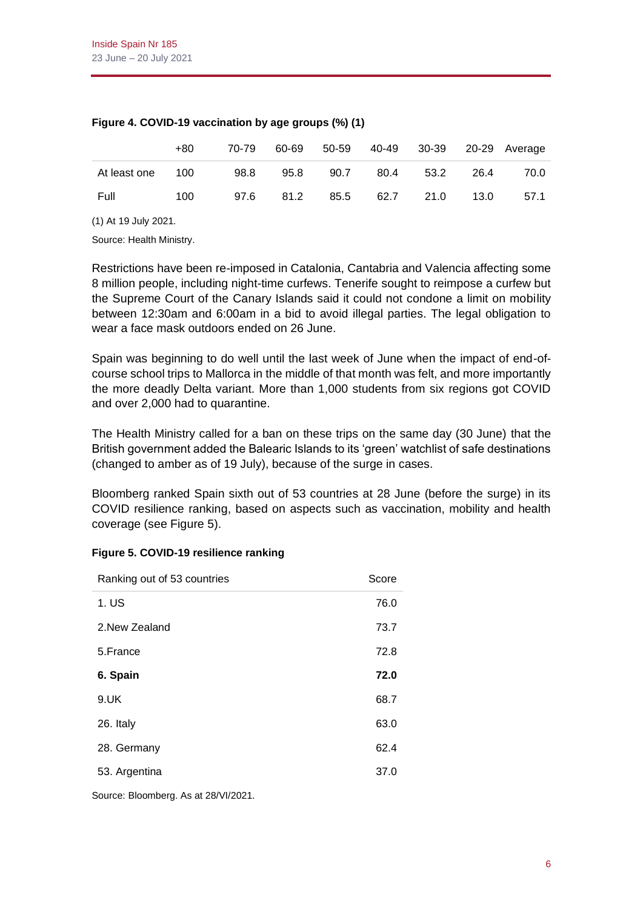|              | +80 | 70-79 | 60-69 | 50-59 |      |      |      | 40-49 30-39 20-29 Average |
|--------------|-----|-------|-------|-------|------|------|------|---------------------------|
| At least one | 100 | 98.8  | 95.8  | 90.7  | 80.4 | 53.2 | 26.4 | 70.0                      |
| Full         | 100 | 97.6  | 81.2  | 85.5  | 62.7 | 21.0 | 13.0 | 57.1                      |

#### **Figure 4. COVID-19 vaccination by age groups (%) (1)**

(1) At 19 July 2021.

Source: Health Ministry.

Restrictions have been re-imposed in Catalonia, Cantabria and Valencia affecting some 8 million people, including night-time curfews. Tenerife sought to reimpose a curfew but the Supreme Court of the Canary Islands said it could not condone a limit on mobility between 12:30am and 6:00am in a bid to avoid illegal parties. The legal obligation to wear a face mask outdoors ended on 26 June.

Spain was beginning to do well until the last week of June when the impact of end-ofcourse school trips to Mallorca in the middle of that month was felt, and more importantly the more deadly Delta variant. More than 1,000 students from six regions got COVID and over 2,000 had to quarantine.

The Health Ministry called for a ban on these trips on the same day (30 June) that the British government added the Balearic Islands to its 'green' watchlist of safe destinations (changed to amber as of 19 July), because of the surge in cases.

Bloomberg ranked Spain sixth out of 53 countries at 28 June (before the surge) in its COVID resilience ranking, based on aspects such as vaccination, mobility and health coverage (see Figure 5).

| Ranking out of 53 countries | Score |
|-----------------------------|-------|
| 1. US                       | 76.0  |
| 2. New Zealand              | 73.7  |
| 5.France                    | 72.8  |
| 6. Spain                    | 72.0  |
| 9.UK                        | 68.7  |
| 26. Italy                   | 63.0  |
| 28. Germany                 | 62.4  |
| 53. Argentina               | 37.0  |

# **Figure 5. COVID-19 resilience ranking**

Source: Bloomberg. As at 28/VI/2021.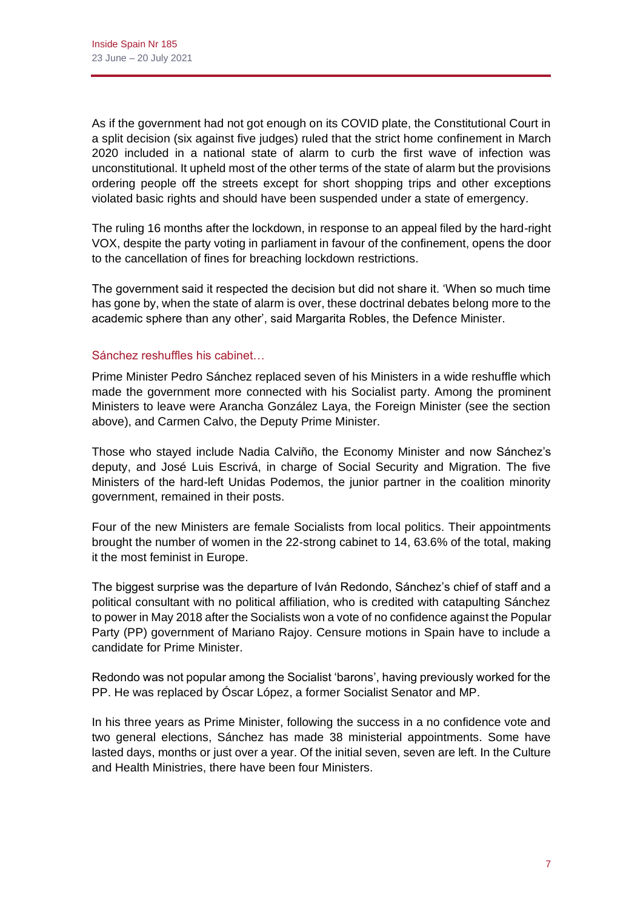As if the government had not got enough on its COVID plate, the Constitutional Court in a split decision (six against five judges) ruled that the strict home confinement in March 2020 included in a national state of alarm to curb the first wave of infection was unconstitutional. It upheld most of the other terms of the state of alarm but the provisions ordering people off the streets except for short shopping trips and other exceptions violated basic rights and should have been suspended under a state of emergency.

The ruling 16 months after the lockdown, in response to an appeal filed by the hard-right VOX, despite the party voting in parliament in favour of the confinement, opens the door to the cancellation of fines for breaching lockdown restrictions.

The government said it respected the decision but did not share it. 'When so much time has gone by, when the state of alarm is over, these doctrinal debates belong more to the academic sphere than any other', said Margarita Robles, the Defence Minister.

# Sánchez reshuffles his cabinet…

Prime Minister Pedro Sánchez replaced seven of his Ministers in a wide reshuffle which made the government more connected with his Socialist party. Among the prominent Ministers to leave were Arancha González Laya, the Foreign Minister (see the section above), and Carmen Calvo, the Deputy Prime Minister.

Those who stayed include Nadia Calviño, the Economy Minister and now Sánchez's deputy, and José Luis Escrivá, in charge of Social Security and Migration. The five Ministers of the hard-left Unidas Podemos, the junior partner in the coalition minority government, remained in their posts.

Four of the new Ministers are female Socialists from local politics. Their appointments brought the number of women in the 22-strong cabinet to 14, 63.6% of the total, making it the most feminist in Europe.

The biggest surprise was the departure of Iván Redondo, Sánchez's chief of staff and a political consultant with no political affiliation, who is credited with catapulting Sánchez to power in May 2018 after the Socialists won a vote of no confidence against the Popular Party (PP) government of Mariano Rajoy. Censure motions in Spain have to include a candidate for Prime Minister.

Redondo was not popular among the Socialist 'barons', having previously worked for the PP. He was replaced by Óscar López, a former Socialist Senator and MP.

In his three years as Prime Minister, following the success in a no confidence vote and two general elections, Sánchez has made 38 ministerial appointments. Some have lasted days, months or just over a year. Of the initial seven, seven are left. In the Culture and Health Ministries, there have been four Ministers.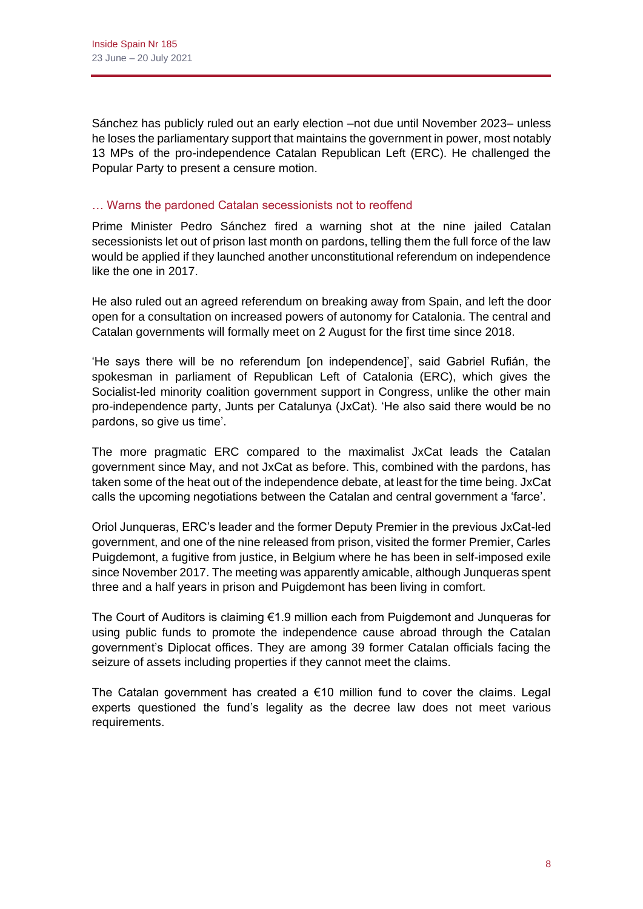Sánchez has publicly ruled out an early election –not due until November 2023– unless he loses the parliamentary support that maintains the government in power, most notably 13 MPs of the pro-independence Catalan Republican Left (ERC). He challenged the Popular Party to present a censure motion.

# … Warns the pardoned Catalan secessionists not to reoffend

Prime Minister Pedro Sánchez fired a warning shot at the nine jailed Catalan secessionists let out of prison last month on pardons, telling them the full force of the law would be applied if they launched another unconstitutional referendum on independence like the one in 2017.

He also ruled out an agreed referendum on breaking away from Spain, and left the door open for a consultation on increased powers of autonomy for Catalonia. The central and Catalan governments will formally meet on 2 August for the first time since 2018.

'He says there will be no referendum [on independence]', said Gabriel Rufián, the spokesman in parliament of Republican Left of Catalonia (ERC), which gives the Socialist-led minority coalition government support in Congress, unlike the other main pro-independence party, Junts per Catalunya (JxCat). 'He also said there would be no pardons, so give us time'.

The more pragmatic ERC compared to the maximalist JxCat leads the Catalan government since May, and not JxCat as before. This, combined with the pardons, has taken some of the heat out of the independence debate, at least for the time being. JxCat calls the upcoming negotiations between the Catalan and central government a 'farce'.

Oriol Junqueras, ERC's leader and the former Deputy Premier in the previous JxCat-led government, and one of the nine released from prison, visited the former Premier, Carles Puigdemont, a fugitive from justice, in Belgium where he has been in self-imposed exile since November 2017. The meeting was apparently amicable, although Junqueras spent three and a half years in prison and Puigdemont has been living in comfort.

The Court of Auditors is claiming €1.9 million each from Puigdemont and Junqueras for using public funds to promote the independence cause abroad through the Catalan government's Diplocat offices. They are among 39 former Catalan officials facing the seizure of assets including properties if they cannot meet the claims.

The Catalan government has created a  $\epsilon$ 10 million fund to cover the claims. Legal experts questioned the fund's legality as the decree law does not meet various requirements.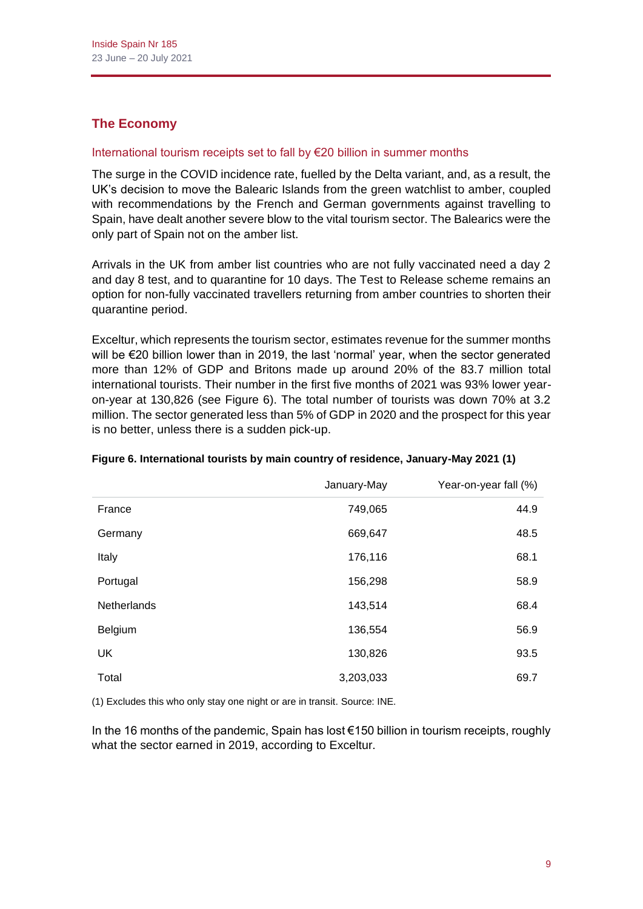# **The Economy**

# International tourism receipts set to fall by €20 billion in summer months

The surge in the COVID incidence rate, fuelled by the Delta variant, and, as a result, the UK's decision to move the Balearic Islands from the green watchlist to amber, coupled with recommendations by the French and German governments against travelling to Spain, have dealt another severe blow to the vital tourism sector. The Balearics were the only part of Spain not on the amber list.

Arrivals in the UK from amber list countries who are not fully vaccinated need a day 2 and day 8 test, and to quarantine for 10 days. The Test to Release scheme remains an option for non-fully vaccinated travellers returning from amber countries to shorten their quarantine period.

Exceltur, which represents the tourism sector, estimates revenue for the summer months will be €20 billion lower than in 2019, the last 'normal' year, when the sector generated more than 12% of GDP and Britons made up around 20% of the 83.7 million total international tourists. Their number in the first five months of 2021 was 93% lower yearon-year at 130,826 (see Figure 6). The total number of tourists was down 70% at 3.2 million. The sector generated less than 5% of GDP in 2020 and the prospect for this year is no better, unless there is a sudden pick-up.

|                    | January-May | Year-on-year fall (%) |
|--------------------|-------------|-----------------------|
| France             | 749,065     | 44.9                  |
| Germany            | 669,647     | 48.5                  |
| Italy              | 176,116     | 68.1                  |
| Portugal           | 156,298     | 58.9                  |
| <b>Netherlands</b> | 143,514     | 68.4                  |
| Belgium            | 136,554     | 56.9                  |
| <b>UK</b>          | 130,826     | 93.5                  |
| Total              | 3,203,033   | 69.7                  |

#### **Figure 6. International tourists by main country of residence, January-May 2021 (1)**

(1) Excludes this who only stay one night or are in transit. Source: INE.

In the 16 months of the pandemic, Spain has lost €150 billion in tourism receipts, roughly what the sector earned in 2019, according to Exceltur.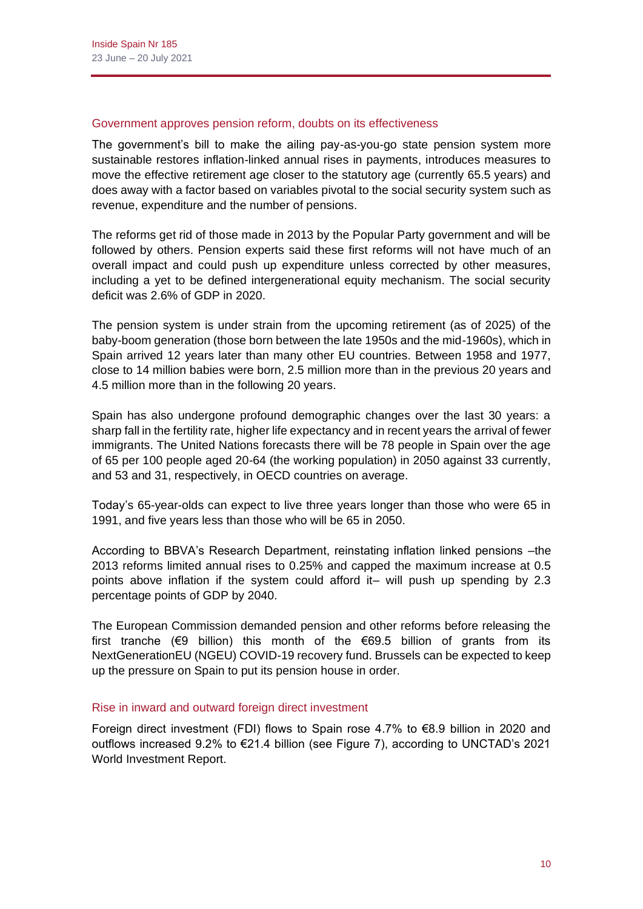#### Government approves pension reform, doubts on its effectiveness

The government's bill to make the ailing pay-as-you-go state pension system more sustainable restores inflation-linked annual rises in payments, introduces measures to move the effective retirement age closer to the statutory age (currently 65.5 years) and does away with a factor based on variables pivotal to the social security system such as revenue, expenditure and the number of pensions.

The reforms get rid of those made in 2013 by the Popular Party government and will be followed by others. Pension experts said these first reforms will not have much of an overall impact and could push up expenditure unless corrected by other measures, including a yet to be defined intergenerational equity mechanism. The social security deficit was 2.6% of GDP in 2020.

The pension system is under strain from the upcoming retirement (as of 2025) of the baby-boom generation (those born between the late 1950s and the mid-1960s), which in Spain arrived 12 years later than many other EU countries. Between 1958 and 1977, close to 14 million babies were born, 2.5 million more than in the previous 20 years and 4.5 million more than in the following 20 years.

Spain has also undergone profound demographic changes over the last 30 years: a sharp fall in the fertility rate, higher life expectancy and in recent years the arrival of fewer immigrants. The United Nations forecasts there will be 78 people in Spain over the age of 65 per 100 people aged 20-64 (the working population) in 2050 against 33 currently, and 53 and 31, respectively, in OECD countries on average.

Today's 65-year-olds can expect to live three years longer than those who were 65 in 1991, and five years less than those who will be 65 in 2050.

According to BBVA's Research Department, reinstating inflation linked pensions –the 2013 reforms limited annual rises to 0.25% and capped the maximum increase at 0.5 points above inflation if the system could afford it– will push up spending by 2.3 percentage points of GDP by 2040.

The European Commission demanded pension and other reforms before releasing the first tranche ( $\epsilon$ 9 billion) this month of the  $\epsilon$ 69.5 billion of grants from its NextGenerationEU (NGEU) COVID-19 recovery fund. Brussels can be expected to keep up the pressure on Spain to put its pension house in order.

#### Rise in inward and outward foreign direct investment

Foreign direct investment (FDI) flows to Spain rose 4.7% to €8.9 billion in 2020 and outflows increased 9.2% to €21.4 billion (see Figure 7), according to UNCTAD's 2021 World Investment Report.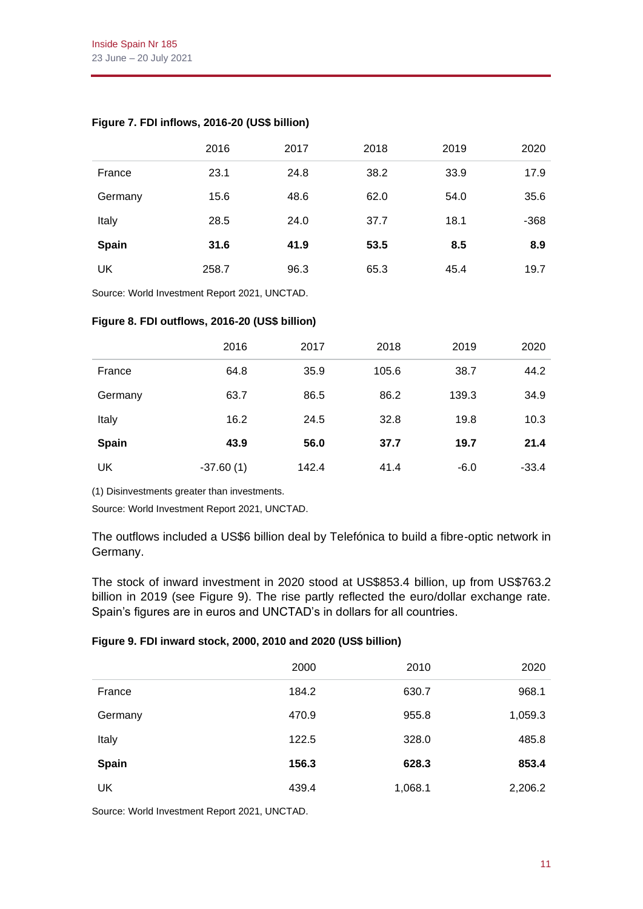|              | 2016  | 2017 | 2018 | 2019 | 2020   |
|--------------|-------|------|------|------|--------|
| France       | 23.1  | 24.8 | 38.2 | 33.9 | 17.9   |
| Germany      | 15.6  | 48.6 | 62.0 | 54.0 | 35.6   |
| Italy        | 28.5  | 24.0 | 37.7 | 18.1 | $-368$ |
| <b>Spain</b> | 31.6  | 41.9 | 53.5 | 8.5  | 8.9    |
| UK           | 258.7 | 96.3 | 65.3 | 45.4 | 19.7   |

# **Figure 7. FDI inflows, 2016-20 (US\$ billion)**

Source: World Investment Report 2021, UNCTAD.

#### **Figure 8. FDI outflows, 2016-20 (US\$ billion)**

|         | 2016        | 2017  | 2018  | 2019   | 2020    |
|---------|-------------|-------|-------|--------|---------|
| France  | 64.8        | 35.9  | 105.6 | 38.7   | 44.2    |
| Germany | 63.7        | 86.5  | 86.2  | 139.3  | 34.9    |
| Italy   | 16.2        | 24.5  | 32.8  | 19.8   | 10.3    |
| Spain   | 43.9        | 56.0  | 37.7  | 19.7   | 21.4    |
| UK      | $-37.60(1)$ | 142.4 | 41.4  | $-6.0$ | $-33.4$ |

(1) Disinvestments greater than investments.

Source: World Investment Report 2021, UNCTAD.

The outflows included a US\$6 billion deal by Telefónica to build a fibre-optic network in Germany.

The stock of inward investment in 2020 stood at US\$853.4 billion, up from US\$763.2 billion in 2019 (see Figure 9). The rise partly reflected the euro/dollar exchange rate. Spain's figures are in euros and UNCTAD's in dollars for all countries.

#### **Figure 9. FDI inward stock, 2000, 2010 and 2020 (US\$ billion)**

|              | 2000  | 2010    | 2020    |
|--------------|-------|---------|---------|
| France       | 184.2 | 630.7   | 968.1   |
| Germany      | 470.9 | 955.8   | 1,059.3 |
| Italy        | 122.5 | 328.0   | 485.8   |
| <b>Spain</b> | 156.3 | 628.3   | 853.4   |
| UK           | 439.4 | 1,068.1 | 2,206.2 |

Source: World Investment Report 2021, UNCTAD.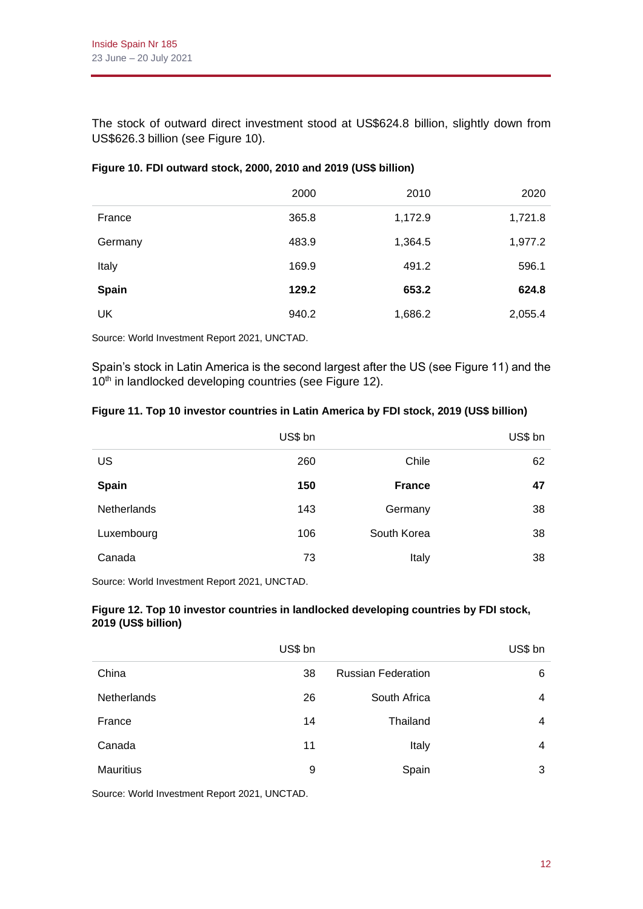The stock of outward direct investment stood at US\$624.8 billion, slightly down from US\$626.3 billion (see Figure 10).

|         | 2000  | 2010    | 2020    |
|---------|-------|---------|---------|
| France  | 365.8 | 1,172.9 | 1,721.8 |
| Germany | 483.9 | 1,364.5 | 1,977.2 |
| Italy   | 169.9 | 491.2   | 596.1   |
| Spain   | 129.2 | 653.2   | 624.8   |
| UK      | 940.2 | 1,686.2 | 2,055.4 |

#### **Figure 10. FDI outward stock, 2000, 2010 and 2019 (US\$ billion)**

Source: World Investment Report 2021, UNCTAD.

Spain's stock in Latin America is the second largest after the US (see Figure 11) and the 10<sup>th</sup> in landlocked developing countries (see Figure 12).

#### **Figure 11. Top 10 investor countries in Latin America by FDI stock, 2019 (US\$ billion)**

|                    | US\$ bn |               | US\$ bn |
|--------------------|---------|---------------|---------|
| US                 | 260     | Chile         | 62      |
| <b>Spain</b>       | 150     | <b>France</b> | 47      |
| <b>Netherlands</b> | 143     | Germany       | 38      |
| Luxembourg         | 106     | South Korea   | 38      |
| Canada             | 73      | Italy         | 38      |

Source: World Investment Report 2021, UNCTAD.

#### **Figure 12. Top 10 investor countries in landlocked developing countries by FDI stock, 2019 (US\$ billion)**

| US\$ bn |
|---------|
| 6       |
| 4       |
| 4       |
| 4       |
| 3       |
|         |

Source: World Investment Report 2021, UNCTAD.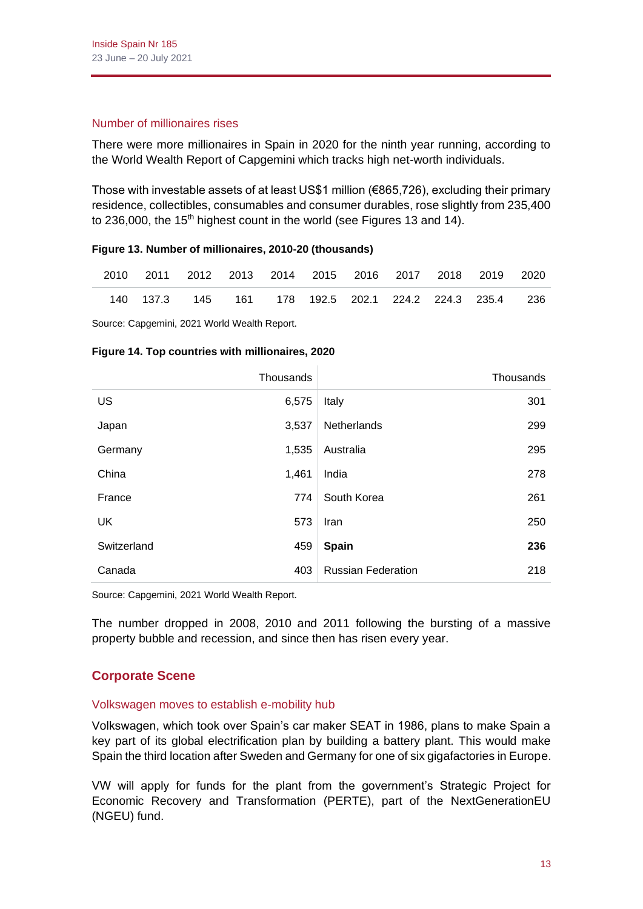#### Number of millionaires rises

There were more millionaires in Spain in 2020 for the ninth year running, according to the World Wealth Report of Capgemini which tracks high net-worth individuals.

Those with investable assets of at least US\$1 million (€865,726), excluding their primary residence, collectibles, consumables and consumer durables, rose slightly from 235,400 to 236,000, the 15<sup>th</sup> highest count in the world (see Figures 13 and 14).

#### **Figure 13. Number of millionaires, 2010-20 (thousands)**

|  |  |  |  | 2010 2011 2012 2013 2014 2015 2016 2017 2018 2019 2020            |  |
|--|--|--|--|-------------------------------------------------------------------|--|
|  |  |  |  | 140  137.3  145  161  178  192.5  202.1  224.2  224.3  235.4  236 |  |

Source: Capgemini, 2021 World Wealth Report.

#### **Figure 14. Top countries with millionaires, 2020**

|             | Thousands |                           | Thousands |
|-------------|-----------|---------------------------|-----------|
| US          | 6,575     | Italy                     | 301       |
| Japan       | 3,537     | Netherlands               | 299       |
| Germany     | 1,535     | Australia                 | 295       |
| China       | 1,461     | India                     | 278       |
| France      | 774       | South Korea               | 261       |
| UK          | 573       | Iran                      | 250       |
| Switzerland | 459       | Spain                     | 236       |
| Canada      | 403       | <b>Russian Federation</b> | 218       |

Source: Capgemini, 2021 World Wealth Report.

The number dropped in 2008, 2010 and 2011 following the bursting of a massive property bubble and recession, and since then has risen every year.

# **Corporate Scene**

#### Volkswagen moves to establish e-mobility hub

Volkswagen, which took over Spain's car maker SEAT in 1986, plans to make Spain a key part of its global electrification plan by building a battery plant. This would make Spain the third location after Sweden and Germany for one of six gigafactories in Europe.

VW will apply for funds for the plant from the government's Strategic Project for Economic Recovery and Transformation (PERTE), part of the NextGenerationEU (NGEU) fund.